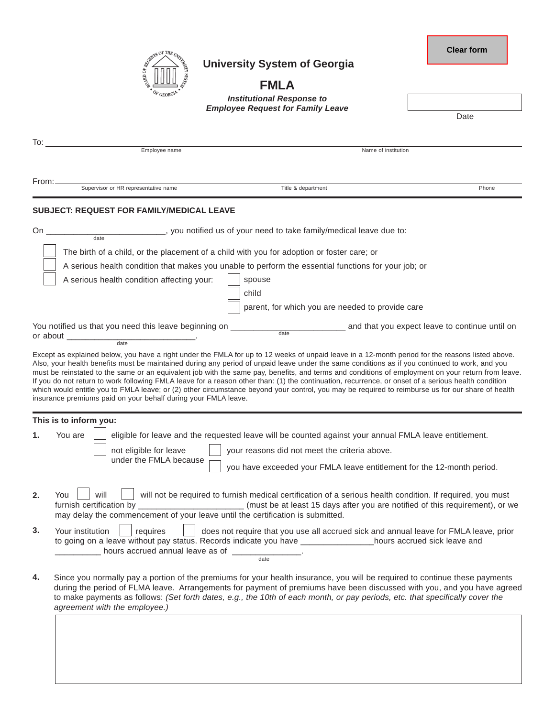|                     | SERVER OF THE UNITS |     |
|---------------------|---------------------|-----|
| $\sigma_{\rm{MNO}}$ |                     | ζý, |
|                     | OF GEORGIA          |     |

## **University System of Georgia**

**Clear form**

## **FMLA**

*Institutional Response to Employee Request for Family Leave*

|       |                                                                                                                                                                                                                                                                                                                                                   | Linprovee Request for Family Leave                                                                                                                                                                                                                                                                                                                                                                                                                             | Date                                           |  |  |
|-------|---------------------------------------------------------------------------------------------------------------------------------------------------------------------------------------------------------------------------------------------------------------------------------------------------------------------------------------------------|----------------------------------------------------------------------------------------------------------------------------------------------------------------------------------------------------------------------------------------------------------------------------------------------------------------------------------------------------------------------------------------------------------------------------------------------------------------|------------------------------------------------|--|--|
| To:   |                                                                                                                                                                                                                                                                                                                                                   |                                                                                                                                                                                                                                                                                                                                                                                                                                                                |                                                |  |  |
|       | Employee name                                                                                                                                                                                                                                                                                                                                     | Name of institution                                                                                                                                                                                                                                                                                                                                                                                                                                            |                                                |  |  |
| From: | Supervisor or HR representative name                                                                                                                                                                                                                                                                                                              | Title & department                                                                                                                                                                                                                                                                                                                                                                                                                                             | Phone                                          |  |  |
|       | <b>SUBJECT: REQUEST FOR FAMILY/MEDICAL LEAVE</b>                                                                                                                                                                                                                                                                                                  |                                                                                                                                                                                                                                                                                                                                                                                                                                                                |                                                |  |  |
| On    | $\frac{1}{\text{date}}$                                                                                                                                                                                                                                                                                                                           | _____, you notified us of your need to take family/medical leave due to:                                                                                                                                                                                                                                                                                                                                                                                       |                                                |  |  |
|       |                                                                                                                                                                                                                                                                                                                                                   | The birth of a child, or the placement of a child with you for adoption or foster care; or                                                                                                                                                                                                                                                                                                                                                                     |                                                |  |  |
|       |                                                                                                                                                                                                                                                                                                                                                   | A serious health condition that makes you unable to perform the essential functions for your job; or                                                                                                                                                                                                                                                                                                                                                           |                                                |  |  |
|       | A serious health condition affecting your:                                                                                                                                                                                                                                                                                                        | spouse                                                                                                                                                                                                                                                                                                                                                                                                                                                         |                                                |  |  |
|       |                                                                                                                                                                                                                                                                                                                                                   | child                                                                                                                                                                                                                                                                                                                                                                                                                                                          |                                                |  |  |
|       |                                                                                                                                                                                                                                                                                                                                                   | parent, for which you are needed to provide care                                                                                                                                                                                                                                                                                                                                                                                                               |                                                |  |  |
|       | You notified us that you need this leave beginning on _______<br>or about                                                                                                                                                                                                                                                                         | $\frac{1}{\text{date}}$                                                                                                                                                                                                                                                                                                                                                                                                                                        | and that you expect leave to continue until on |  |  |
|       | date                                                                                                                                                                                                                                                                                                                                              |                                                                                                                                                                                                                                                                                                                                                                                                                                                                |                                                |  |  |
|       | insurance premiums paid on your behalf during your FMLA leave.<br>This is to inform you:                                                                                                                                                                                                                                                          | must be reinstated to the same or an equivalent job with the same pay, benefits, and terms and conditions of employment on your return from leave.<br>If you do not return to work following FMLA leave for a reason other than: (1) the continuation, recurrence, or onset of a serious health condition<br>which would entitle you to FMLA leave; or (2) other circumstance beyond your control, you may be required to reimburse us for our share of health |                                                |  |  |
| 1.    | You are                                                                                                                                                                                                                                                                                                                                           | eligible for leave and the requested leave will be counted against your annual FMLA leave entitlement.                                                                                                                                                                                                                                                                                                                                                         |                                                |  |  |
|       | not eligible for leave                                                                                                                                                                                                                                                                                                                            |                                                                                                                                                                                                                                                                                                                                                                                                                                                                |                                                |  |  |
|       | under the FMLA because                                                                                                                                                                                                                                                                                                                            | you have exceeded your FMLA leave entitlement for the 12-month period.                                                                                                                                                                                                                                                                                                                                                                                         |                                                |  |  |
| 2.    | will<br>will not be required to furnish medical certification of a serious health condition. If required, you must<br>You<br>furnish certification by _____________________________(must be at least 15 days after you are notified of this requirement), or we<br>may delay the commencement of your leave until the certification is submitted. |                                                                                                                                                                                                                                                                                                                                                                                                                                                                |                                                |  |  |
| 3.    | Your institution<br>requires                                                                                                                                                                                                                                                                                                                      | does not require that you use all accrued sick and annual leave for FMLA leave, prior<br>to going on a leave without pay status. Records indicate you have __________________hours accrued sick leave and                                                                                                                                                                                                                                                      |                                                |  |  |
| 4.    | agreement with the employee.)                                                                                                                                                                                                                                                                                                                     | Since you normally pay a portion of the premiums for your health insurance, you will be required to continue these payments<br>during the period of FLMA leave. Arrangements for payment of premiums have been discussed with you, and you have agreed<br>to make payments as follows: (Set forth dates, e.g., the 10th of each month, or pay periods, etc. that specifically cover the                                                                        |                                                |  |  |
|       |                                                                                                                                                                                                                                                                                                                                                   |                                                                                                                                                                                                                                                                                                                                                                                                                                                                |                                                |  |  |